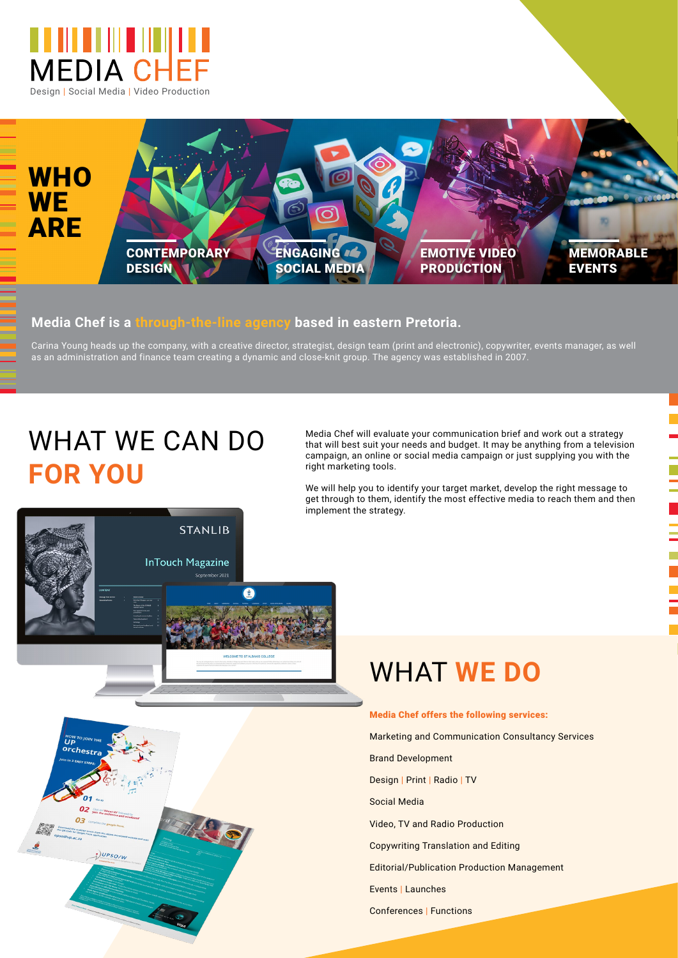



## **Media Chef is a through-the-line agency based in eastern Pretoria.**

Carina Young heads up the company, with a creative director, strategist, design team (print and electronic), copywriter, events manager, as well as an administration and finance team creating a dynamic and close-knit group. The agency was established in 2007.

## WHAT WE CAN DO **FOR YOU**

нои<br>**UP** 

 $Q_3$ 

:)UPSO/W

Media Chef will evaluate your communication brief and work out a strategy that will best suit your needs and budget. It may be anything from a television campaign, an online or social media campaign or just supplying you with the right marketing tools.

We will help you to identify your target market, develop the right message to get through to them, identify the most effective media to reach them and then implement the strategy.



## WHAT **WE DO**

Media Chef offers the following services: Marketing and Communication Consultancy Services Brand Development Design | Print | Radio | TV Social Media Video, TV and Radio Production Copywriting Translation and Editing Editorial/Publication Production Management Events | Launches

Conferences | Functions